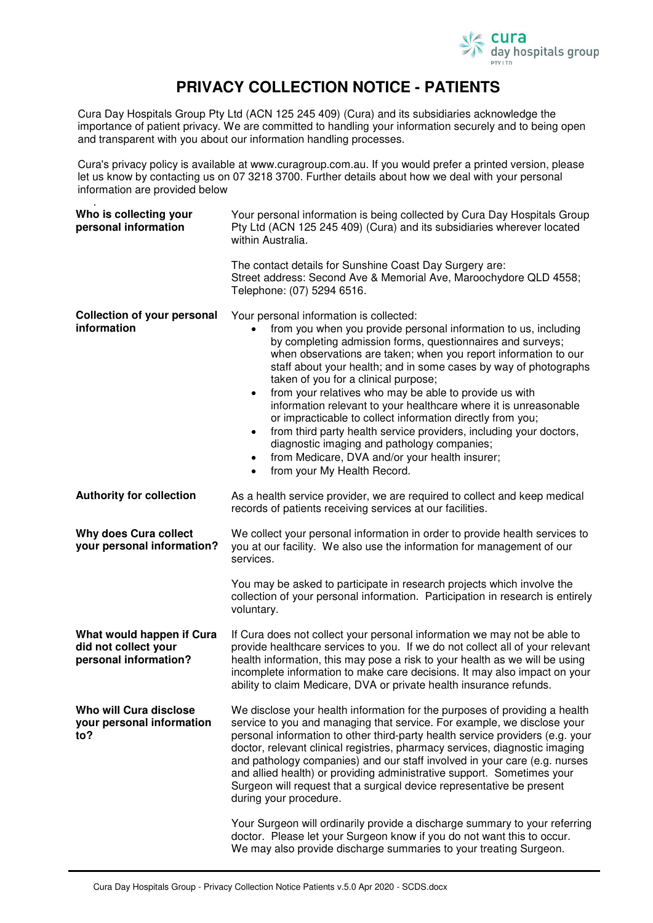

## **PRIVACY COLLECTION NOTICE - PATIENTS**

Cura Day Hospitals Group Pty Ltd (ACN 125 245 409) (Cura) and its subsidiaries acknowledge the importance of patient privacy. We are committed to handling your information securely and to being open and transparent with you about our information handling processes.

Cura's privacy policy is available at www.curagroup.com.au. If you would prefer a printed version, please let us know by contacting us on 07 3218 3700. Further details about how we deal with your personal information are provided below

.

| Who is collecting your<br>personal information                             | Your personal information is being collected by Cura Day Hospitals Group<br>Pty Ltd (ACN 125 245 409) (Cura) and its subsidiaries wherever located<br>within Australia.                                                                                                                                                                                                                                                                                                                                                                                                                                                                                                                                                                                                                                       |
|----------------------------------------------------------------------------|---------------------------------------------------------------------------------------------------------------------------------------------------------------------------------------------------------------------------------------------------------------------------------------------------------------------------------------------------------------------------------------------------------------------------------------------------------------------------------------------------------------------------------------------------------------------------------------------------------------------------------------------------------------------------------------------------------------------------------------------------------------------------------------------------------------|
|                                                                            | The contact details for Sunshine Coast Day Surgery are:<br>Street address: Second Ave & Memorial Ave, Maroochydore QLD 4558;<br>Telephone: (07) 5294 6516.                                                                                                                                                                                                                                                                                                                                                                                                                                                                                                                                                                                                                                                    |
| <b>Collection of your personal</b><br>information                          | Your personal information is collected:<br>from you when you provide personal information to us, including<br>by completing admission forms, questionnaires and surveys;<br>when observations are taken; when you report information to our<br>staff about your health; and in some cases by way of photographs<br>taken of you for a clinical purpose;<br>from your relatives who may be able to provide us with<br>$\bullet$<br>information relevant to your healthcare where it is unreasonable<br>or impracticable to collect information directly from you;<br>from third party health service providers, including your doctors,<br>$\bullet$<br>diagnostic imaging and pathology companies;<br>from Medicare, DVA and/or your health insurer;<br>$\bullet$<br>from your My Health Record.<br>$\bullet$ |
| <b>Authority for collection</b>                                            | As a health service provider, we are required to collect and keep medical<br>records of patients receiving services at our facilities.                                                                                                                                                                                                                                                                                                                                                                                                                                                                                                                                                                                                                                                                        |
| Why does Cura collect<br>your personal information?                        | We collect your personal information in order to provide health services to<br>you at our facility. We also use the information for management of our<br>services.                                                                                                                                                                                                                                                                                                                                                                                                                                                                                                                                                                                                                                            |
|                                                                            | You may be asked to participate in research projects which involve the<br>collection of your personal information. Participation in research is entirely<br>voluntary.                                                                                                                                                                                                                                                                                                                                                                                                                                                                                                                                                                                                                                        |
| What would happen if Cura<br>did not collect your<br>personal information? | If Cura does not collect your personal information we may not be able to<br>provide healthcare services to you. If we do not collect all of your relevant<br>health information, this may pose a risk to your health as we will be using<br>incomplete information to make care decisions. It may also impact on your<br>ability to claim Medicare, DVA or private health insurance refunds.                                                                                                                                                                                                                                                                                                                                                                                                                  |
| Who will Cura disclose<br>your personal information<br>to?                 | We disclose your health information for the purposes of providing a health<br>service to you and managing that service. For example, we disclose your<br>personal information to other third-party health service providers (e.g. your<br>doctor, relevant clinical registries, pharmacy services, diagnostic imaging<br>and pathology companies) and our staff involved in your care (e.g. nurses<br>and allied health) or providing administrative support. Sometimes your<br>Surgeon will request that a surgical device representative be present<br>during your procedure.<br>Your Surgeon will ordinarily provide a discharge summary to your referring                                                                                                                                                 |
|                                                                            | doctor. Please let your Surgeon know if you do not want this to occur.<br>We may also provide discharge summaries to your treating Surgeon.                                                                                                                                                                                                                                                                                                                                                                                                                                                                                                                                                                                                                                                                   |